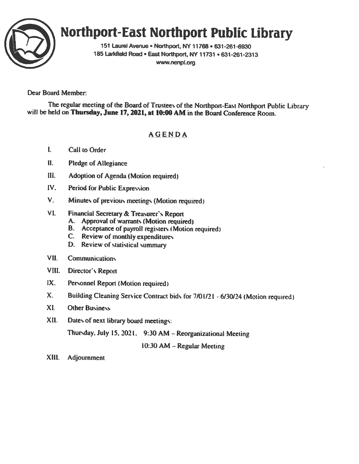

# Northport-East Northport Public Library

<sup>151</sup> Laurel Avenue • Northport, NY 11768. 631-261-6930 185 Larkfield Road • East Northport, NY 11731 • 631-261-2313 www.nenpl.org

# Dear Board Member:

The regular meeting of the Board of Trustees of the Northport-East Northport Public Library will be held on Thursday, June 17, 2021, at 10:00 AM in the Board Conference Room.

# AGENDA

- I. Call to Order
- II. Pledge of Allegiance
- Ill. Adoption of Agenda (Motion required)
- IV. Period for Public Expression
- V. Minutes of previous meetings (Motion required

# VI. Financial Secretary & Treasurer's Report

- A. Approval of warrants (Motion required)
- B. Acceptance of payroll registers (Motion required)
- C. Review of monthly expenditures
- D. Review of statistical summary
- VII, Communications
- VIII. Director's Report
- LX. Personnel Report (Motion required
- X. Building Cleaning Service Contract bids for 7/01/21 6/30/24 (Motion required)
- Xl. Other Business
- XII. Dates of next library board meetings:

Thursday. July 15, 2021. 9:30 AM — Reorganizational Meeting

10:30 AM — Regular Meeting

XIII. Adjournment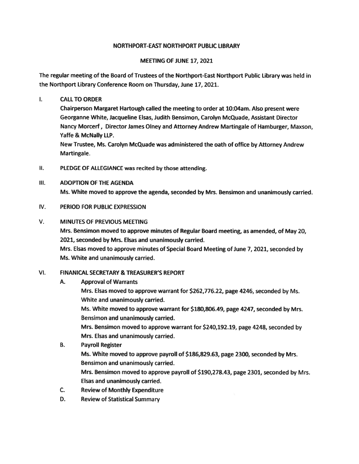#### NORTHPORT-EAST NORTHPORT PUBLIC LIBRARY

#### MEETING OF JUNE 17, 2021

The regular meeting of the Board of Trustees of the Northport-East Northport Public Library was held in the Northport Library Conference Room on Thursday, June 17, 2021.

 $\mathbf{L}$ CALLTO ORDER

> Chairperson Margaret Hartough called the meeting to order at 10:04am. Also presen<sup>t</sup> were Georganne White, Jacqueline Elsas, Judith Bensimon, Carolyn McQuade, Assistant Director Nancy Morcerf, Director James Olney and Attorney Andrew Martingale of Hamburger, Maxson, Yaffe & McNally LIP.

New Trustee, Ms. Carolyn McQuade was administered the oath of office by Attorney Andrew Martingale.

- II. PLEDGE OF ALLEGIANCE was recited by those attending.
- III. ADOPTION OF THE AGENDA Ms. White moved to approve the agenda, seconded by Mrs. Bensimon and unanimously carried.
- IV. PERIOD FOR PUBLIC EXPRESSION

#### V. MINUTES OF PREVIOUS MEETING

Mrs. Bensimon moved to approve minutes of Regular Board meeting, as amended, of May 20, 2021, seconded by Mrs. Elsas and unanimously carried.

Mrs. Elsas moved to approve minutes of Special Board Meeting of June 7, 2021, seconded by Ms. White and unanimously carried.

#### VI. FINANICAL SECRETARY & TREASURER'S REPORT

A. Approval of Warrants

Mrs. Elsas moved to approve warrant for \$262,776.22, page 4246, seconded by Ms. White and unanimously carried.

Ms. White moved to approve warrant for \$180,806.49, page 4247, seconded by Mrs. Bensimon and unanimously carried.

Mrs. Bensimon moved to approve warrant for \$240,192.19, page 4248, seconded by Mrs. Elsas and unanimously carried.

- B. Payroll Register Ms. White moved to approve payroll of \$186,829.63, page 2300, seconded by Mrs. Bensimon and unanimously carried. Mrs. Bensimon moved to approve payroll of \$190,278.43, page 2301, seconded by Mrs. Elsas and unanimously carried.
- C. Review of Monthly Expenditure
- D. Review of Statistical Summary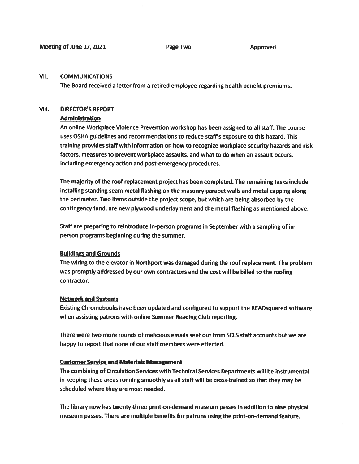#### VII. COMMUNICATIONS

The Board received <sup>a</sup> letter from <sup>a</sup> retired employee regarding health benefit premiums.

#### VIII. DIRECTOR'S REPORT

#### Administration

An online Workplace Violence Prevention workshop has been assigned to all staff. The course uses OSHA guidelines and recommendations to reduce staff's exposure to this hazard. This training provides staff with information on how to recognize workplace security hazards and risk factors, measures to preven<sup>t</sup> workplace assaults, and what to do when an assault occurs, including emergency action and post-emergency procedures.

The majority of the roof replacement project has been completed. The remaining tasks include installing standing seam metal flashing on the masonry parape<sup>t</sup> walls and metal capping along the perimeter. Two items outside the project scope, but which are being absorbed by the contingency fund, are new plywood underlayment and the metal flashing as mentioned above.

Staff are preparing to reintroduce in-person programs in September with <sup>a</sup> sampling of inperson programs beginning during the summer.

#### Buildings and Grounds

The wiring to the elevator in Northport was damaged during the roof replacement. The problem was promptly addressed by our own contractors and the cost will be billed to the roofing contractor.

#### Network and Systems

Existing Chromebooks have been updated and configured to suppor<sup>t</sup> the READsquared software when assisting patrons with online Summer Reading Club reporting.

There were two more rounds of malicious emails sent out from SCLS staff accounts but we are happy to repor<sup>t</sup> that none of our staff members were effected.

#### Customer Service and Materials Management

The combining of Circulation Services with Technical Services Departments will be instrumental in keeping these areas running smoothly as all staff will be cross-trained so that they may be scheduled where they are most needed.

The library now has twenty-three print-on-demand museum passes in addition to nine <sup>p</sup>hysical museum passes. There are multiple benefits for patrons using the print-on-demand feature.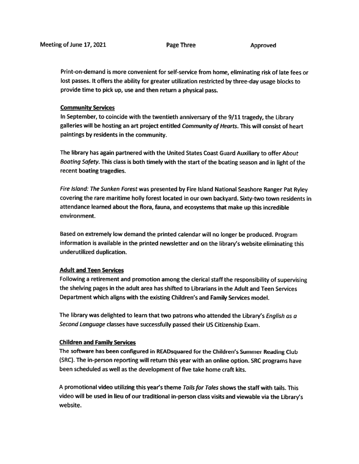Print-on-demand is more convenient for self-service from home, eliminating risk of late fees or lost passes. It offers the ability for greater utilization restricted by three-day usage blocks to provide time to <sup>p</sup>ick up, use and then return <sup>a</sup> <sup>p</sup>hysical pass.

#### Community Services

In September, to coincide with the twentieth anniversary of the 9/11 tragedy, the Library galleries will be hosting an art project entitled Community of Hearts. This will consist of heart paintings by residents in the community.

The library has again partnered with the United States Coast Guard Auxiliary to offer About Boating Safety. This class is both timely with the start of the boating season and in light of the recent boating tragedies.

Fire Island: The Sunken Forest was presented by Fire Island National Seashore Ranger Pat Ryley covering the rare maritime holly forest located in our own backyard. Sixty-two town residents in attendance learned about the flora, fauna, and ecosystems that make up this incredible environment.

Based on extremely low demand the printed calendar will no longer be produced. Program information is available in the printed newsletter and on the library's website eliminating this underutilized duplication.

#### Adult and Teen Services

Following <sup>a</sup> retirement and promotion among the clerical staff the responsibility of supervising the shelving pages in the adult area has shifted to Librarians in the Adult and Teen Services Department which aligns with the existing Children's and Family Services model.

The library was delighted to learn that two patrons who attended the Library's English as a Second Language classes have successfully passe<sup>d</sup> their US Citizenship Exam.

#### Children and Family Services

The software has been configured in READsquared for the Children's Summer Reading Club (SRC). The in-person reporting will return this year with an online option. SRC programs have been scheduled as well as the development of five take home craft kits.

A promotional video utilizing this year's theme Tails for Tales shows the staff with tails. This video will be used in lieu of our traditional in-person class visits and viewable via the Library's website.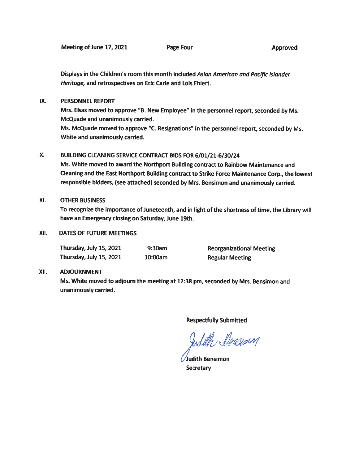Meeting of June 17, 2021 **Page Four** Page Four Approved

Displays in the Children's room this month included Asian American and Pacific Islander Heritage, and retrospectives on Eric Carte and Lois Ehlert.

#### IX. PERSONNEL REPORT

Mrs. Elsas moved to approve "B. New Employee" in the personne<sup>l</sup> report, seconded by Ms. McQuade and unanimously carried. Ms. McQuade moved to approve "C. Resignations" in the personne<sup>l</sup> report, seconded by Ms. White and unanimously carried.

#### X. BUILDING CLEANING SERVICE CONTRACT BIDS FOR 6/01/21-6/30/24

Ms. White moved to award the Northport Building contract to Rainbow Maintenance and Cleaning and the East Northport Building contract to Strike Force Maintenance Corp., the lowest responsible bidders, (see attached) seconded by Mrs. Bensimon and unanimously carried.

#### XI. OTHER BUSINESS

To recognize the importance of Juneteenth, and in light of the shortness of time, the Library will have an Emergency closing on Saturday, June 19th.

#### XII. DATES OF FUTURE MEETINGS

| Thursday, July 15, 2021 | $9:30$ am | Reorganizational       |
|-------------------------|-----------|------------------------|
| Thursday, July 15, 2021 | 10:00am   | <b>Regular Meeting</b> |

Reorganizational Meeting

#### Xli. ADJOURNMENT

Ms. White moved to adjourn the meeting at 12:38 pm, seconded by Mrs. Bensimon and unanimously carried.

Respectfully Submitted

Judith Stonesman

Judith Bensimon **Secretary**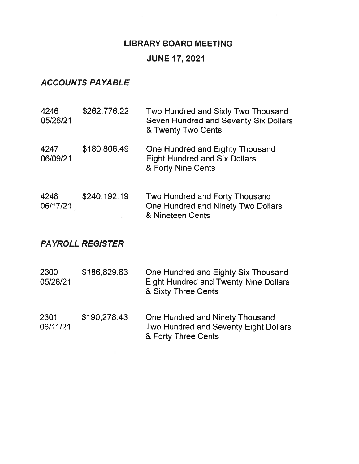# LIBRARY BOARD MEETING

# JUNE 17, 2021

# ACCOUNTS PAYABLE

| 4246<br>05/26/21        | \$262,776.22 | Two Hundred and Sixty Two Thousand<br>Seven Hundred and Seventy Six Dollars<br>& Twenty Two Cents |  |
|-------------------------|--------------|---------------------------------------------------------------------------------------------------|--|
| 4247<br>06/09/21        | \$180,806.49 | One Hundred and Eighty Thousand<br><b>Eight Hundred and Six Dollars</b><br>& Forty Nine Cents     |  |
| 4248<br>06/17/21        | \$240,192.19 | Two Hundred and Forty Thousand<br>One Hundred and Ninety Two Dollars<br>& Nineteen Cents          |  |
| <b>PAYROLL REGISTER</b> |              |                                                                                                   |  |

| 2300<br>05/28/21 | \$186,829.63 | One Hundred and Eighty Six Thousand<br><b>Eight Hundred and Twenty Nine Dollars</b><br>& Sixty Three Cents |
|------------------|--------------|------------------------------------------------------------------------------------------------------------|
| 2301             | \$190,278.43 | One Hundred and Ninety Thousand                                                                            |

06/11/21 Two Hundred and Seventy Eight Dollars & Forty Three Cents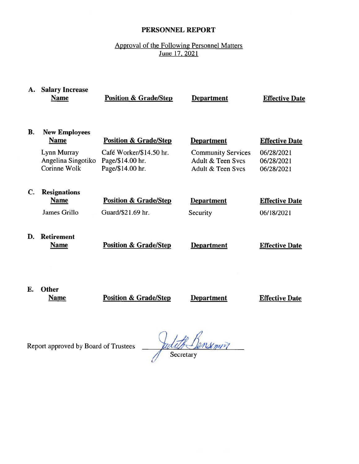# PERSONNEL REPORT

# Approval of the Following Personnel Matters June 17, 2021

| А.             | <b>Salary Increase</b><br><b>Name</b>             | <b>Position &amp; Grade/Step</b>                                | <b>Department</b>                                                   | <b>Effective Date</b>                  |
|----------------|---------------------------------------------------|-----------------------------------------------------------------|---------------------------------------------------------------------|----------------------------------------|
| <b>B.</b>      | <b>New Employees</b><br><b>Name</b>               | <b>Position &amp; Grade/Step</b>                                | <b>Department</b>                                                   | <b>Effective Date</b>                  |
|                | Lynn Murray<br>Angelina Singotiko<br>Corinne Wolk | Café Worker/\$14.50 hr.<br>Page/\$14.00 hr.<br>Page/\$14.00 hr. | <b>Community Services</b><br>Adult & Teen Svcs<br>Adult & Teen Svcs | 06/28/2021<br>06/28/2021<br>06/28/2021 |
| $\mathbf{C}$ . | <b>Resignations</b><br><b>Name</b>                | <b>Position &amp; Grade/Step</b>                                | <b>Department</b>                                                   | <b>Effective Date</b>                  |
|                | James Grillo                                      | Guard/\$21.69 hr.                                               | Security                                                            | 06/18/2021                             |
| D.             | <b>Retirement</b><br><b>Name</b>                  | <b>Position &amp; Grade/Step</b>                                | <b>Department</b>                                                   | <b>Effective Date</b>                  |
|                |                                                   |                                                                 |                                                                     |                                        |
| Е.             | <b>Other</b>                                      |                                                                 |                                                                     |                                        |

Name **Position & Grade/Step Department Effective Date** 

Report approved by Board of Trustees

Justif Bensenin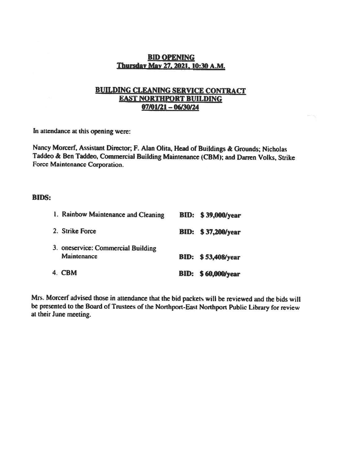# BID OPENING Thursday May 27, 2021, 10:30 A.M.

# BUILDING CLEANING SERVICE CONTRACT EAST NORTHPORT BUILDING 07101121 — 06130/24

In attendance at this opening were:

Nancy Morcerf, Assistant Director; F. Alan Olita, Head of Buildings & Grounds; Nicholas Taddeo & Ben Taddeo, Commercial Building Maintenance (CBM); and Darren Volks, Strike Force Maintenance Corporation.

#### BIDS:

| 1. Rainbow Maintenance and Cleaning                      | <b>BID:</b> \$39,000/year |
|----------------------------------------------------------|---------------------------|
| 2. Strike Force                                          | <b>BID:</b> \$37,200/year |
| 3. oneservice: Commercial Building<br><b>Maintenance</b> | <b>BID:</b> \$53,408/year |
| 4. CBM                                                   | <b>BID:</b> \$60,000/year |

Mrs. Morcerf advised those in attendance that the bid packets will be reviewed and the bids will be presented to the Board of Trustees of the Northport-Easi Northport Public Library for review at their June meeting.